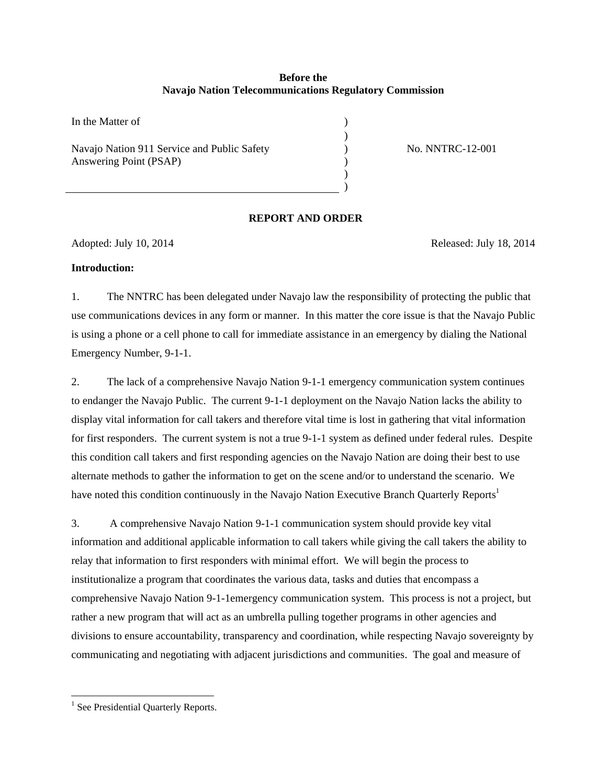# **Before the Navajo Nation Telecommunications Regulatory Commission**

In the Matter of  $\hspace{1.5cm}$  $)$ Navajo Nation 911 Service and Public Safety Answering Point (PSAP)

No. NNTRC-12-001

# **REPORT AND ORDER**

) ) ) )

Adopted: July 10, 2014 Released: July 18, 2014

## **Introduction:**

1. The NNTRC has been delegated under Navajo law the responsibility of protecting the public that use communications devices in any form or manner. In this matter the core issue is that the Navajo Public is using a phone or a cell phone to call for immediate assistance in an emergency by dialing the National Emergency Number, 9-1-1.

2. The lack of a comprehensive Navajo Nation 9-1-1 emergency communication system continues to endanger the Navajo Public. The current 9-1-1 deployment on the Navajo Nation lacks the ability to display vital information for call takers and therefore vital time is lost in gathering that vital information for first responders. The current system is not a true 9-1-1 system as defined under federal rules. Despite this condition call takers and first responding agencies on the Navajo Nation are doing their best to use alternate methods to gather the information to get on the scene and/or to understand the scenario. We have noted this condition continuously in the Navajo Nation Executive Branch Quarterly Reports<sup>1</sup>

3. A comprehensive Navajo Nation 9-1-1 communication system should provide key vital information and additional applicable information to call takers while giving the call takers the ability to relay that information to first responders with minimal effort. We will begin the process to institutionalize a program that coordinates the various data, tasks and duties that encompass a comprehensive Navajo Nation 9-1-1emergency communication system. This process is not a project, but rather a new program that will act as an umbrella pulling together programs in other agencies and divisions to ensure accountability, transparency and coordination, while respecting Navajo sovereignty by communicating and negotiating with adjacent jurisdictions and communities. The goal and measure of

 <sup>1</sup> See Presidential Quarterly Reports.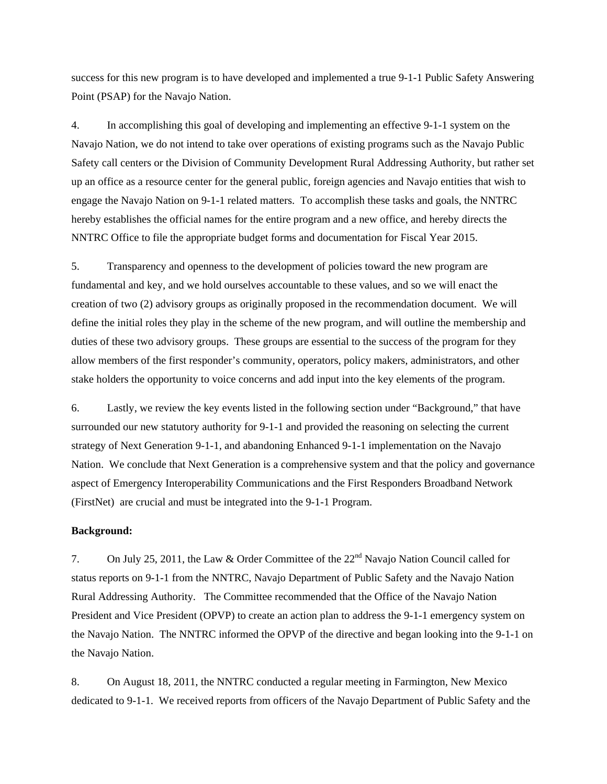success for this new program is to have developed and implemented a true 9-1-1 Public Safety Answering Point (PSAP) for the Navajo Nation.

4. In accomplishing this goal of developing and implementing an effective 9-1-1 system on the Navajo Nation, we do not intend to take over operations of existing programs such as the Navajo Public Safety call centers or the Division of Community Development Rural Addressing Authority, but rather set up an office as a resource center for the general public, foreign agencies and Navajo entities that wish to engage the Navajo Nation on 9-1-1 related matters. To accomplish these tasks and goals, the NNTRC hereby establishes the official names for the entire program and a new office, and hereby directs the NNTRC Office to file the appropriate budget forms and documentation for Fiscal Year 2015.

5. Transparency and openness to the development of policies toward the new program are fundamental and key, and we hold ourselves accountable to these values, and so we will enact the creation of two (2) advisory groups as originally proposed in the recommendation document. We will define the initial roles they play in the scheme of the new program, and will outline the membership and duties of these two advisory groups. These groups are essential to the success of the program for they allow members of the first responder's community, operators, policy makers, administrators, and other stake holders the opportunity to voice concerns and add input into the key elements of the program.

6. Lastly, we review the key events listed in the following section under "Background," that have surrounded our new statutory authority for 9-1-1 and provided the reasoning on selecting the current strategy of Next Generation 9-1-1, and abandoning Enhanced 9-1-1 implementation on the Navajo Nation. We conclude that Next Generation is a comprehensive system and that the policy and governance aspect of Emergency Interoperability Communications and the First Responders Broadband Network (FirstNet) are crucial and must be integrated into the 9-1-1 Program.

#### **Background:**

7. On July 25, 2011, the Law & Order Committee of the 22nd Navajo Nation Council called for status reports on 9-1-1 from the NNTRC, Navajo Department of Public Safety and the Navajo Nation Rural Addressing Authority. The Committee recommended that the Office of the Navajo Nation President and Vice President (OPVP) to create an action plan to address the 9-1-1 emergency system on the Navajo Nation. The NNTRC informed the OPVP of the directive and began looking into the 9-1-1 on the Navajo Nation.

8. On August 18, 2011, the NNTRC conducted a regular meeting in Farmington, New Mexico dedicated to 9-1-1. We received reports from officers of the Navajo Department of Public Safety and the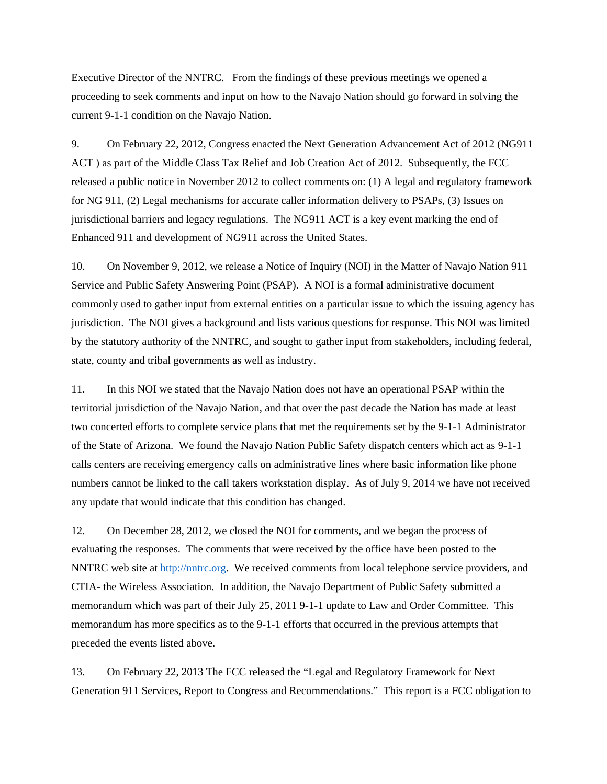Executive Director of the NNTRC. From the findings of these previous meetings we opened a proceeding to seek comments and input on how to the Navajo Nation should go forward in solving the current 9-1-1 condition on the Navajo Nation.

9. On February 22, 2012, Congress enacted the Next Generation Advancement Act of 2012 (NG911 ACT ) as part of the Middle Class Tax Relief and Job Creation Act of 2012. Subsequently, the FCC released a public notice in November 2012 to collect comments on: (1) A legal and regulatory framework for NG 911, (2) Legal mechanisms for accurate caller information delivery to PSAPs, (3) Issues on jurisdictional barriers and legacy regulations. The NG911 ACT is a key event marking the end of Enhanced 911 and development of NG911 across the United States.

10. On November 9, 2012, we release a Notice of Inquiry (NOI) in the Matter of Navajo Nation 911 Service and Public Safety Answering Point (PSAP). A NOI is a formal administrative document commonly used to gather input from external entities on a particular issue to which the issuing agency has jurisdiction. The NOI gives a background and lists various questions for response. This NOI was limited by the statutory authority of the NNTRC, and sought to gather input from stakeholders, including federal, state, county and tribal governments as well as industry.

11. In this NOI we stated that the Navajo Nation does not have an operational PSAP within the territorial jurisdiction of the Navajo Nation, and that over the past decade the Nation has made at least two concerted efforts to complete service plans that met the requirements set by the 9-1-1 Administrator of the State of Arizona. We found the Navajo Nation Public Safety dispatch centers which act as 9-1-1 calls centers are receiving emergency calls on administrative lines where basic information like phone numbers cannot be linked to the call takers workstation display. As of July 9, 2014 we have not received any update that would indicate that this condition has changed.

12. On December 28, 2012, we closed the NOI for comments, and we began the process of evaluating the responses. The comments that were received by the office have been posted to the NNTRC web site at http://nntrc.org. We received comments from local telephone service providers, and CTIA- the Wireless Association. In addition, the Navajo Department of Public Safety submitted a memorandum which was part of their July 25, 2011 9-1-1 update to Law and Order Committee. This memorandum has more specifics as to the 9-1-1 efforts that occurred in the previous attempts that preceded the events listed above.

13. On February 22, 2013 The FCC released the "Legal and Regulatory Framework for Next Generation 911 Services, Report to Congress and Recommendations." This report is a FCC obligation to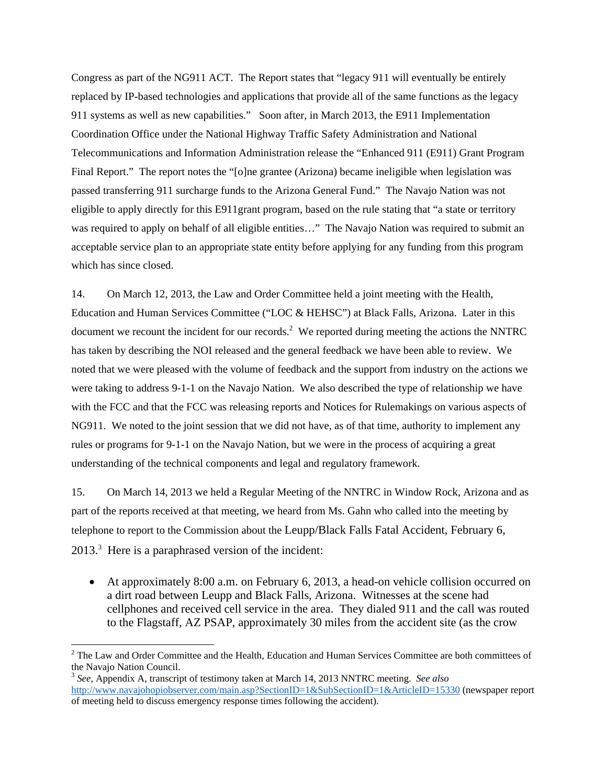Congress as part of the NG911 ACT. The Report states that "legacy 911 will eventually be entirely replaced by IP-based technologies and applications that provide all of the same functions as the legacy 911 systems as well as new capabilities." Soon after, in March 2013, the E911 Implementation Coordination Office under the National Highway Traffic Safety Administration and National Telecommunications and Information Administration release the "Enhanced 911 (E911) Grant Program Final Report." The report notes the "[o]ne grantee (Arizona) became ineligible when legislation was passed transferring 911 surcharge funds to the Arizona General Fund." The Navajo Nation was not eligible to apply directly for this E911grant program, based on the rule stating that "a state or territory was required to apply on behalf of all eligible entities..." The Navajo Nation was required to submit an acceptable service plan to an appropriate state entity before applying for any funding from this program which has since closed.

14. On March 12, 2013, the Law and Order Committee held a joint meeting with the Health, Education and Human Services Committee ("LOC & HEHSC") at Black Falls, Arizona. Later in this document we recount the incident for our records.<sup>2</sup> We reported during meeting the actions the NNTRC has taken by describing the NOI released and the general feedback we have been able to review. We noted that we were pleased with the volume of feedback and the support from industry on the actions we were taking to address 9-1-1 on the Navajo Nation. We also described the type of relationship we have with the FCC and that the FCC was releasing reports and Notices for Rulemakings on various aspects of NG911. We noted to the joint session that we did not have, as of that time, authority to implement any rules or programs for 9-1-1 on the Navajo Nation, but we were in the process of acquiring a great understanding of the technical components and legal and regulatory framework.

15. On March 14, 2013 we held a Regular Meeting of the NNTRC in Window Rock, Arizona and as part of the reports received at that meeting, we heard from Ms. Gahn who called into the meeting by telephone to report to the Commission about the Leupp/Black Falls Fatal Accident, February 6,  $2013<sup>3</sup>$  Here is a paraphrased version of the incident:

 At approximately 8:00 a.m. on February 6, 2013, a head-on vehicle collision occurred on a dirt road between Leupp and Black Falls, Arizona. Witnesses at the scene had cellphones and received cell service in the area. They dialed 911 and the call was routed to the Flagstaff, AZ PSAP, approximately 30 miles from the accident site (as the crow

 $2^2$  The Law and Order Committee and the Health, Education and Human Services Committee are both committees of the Navajo Nation Council.

<sup>3</sup> *See,* Appendix A, transcript of testimony taken at March 14, 2013 NNTRC meeting. *See also* http://www.navajohopiobserver.com/main.asp?SectionID=1&SubSectionID=1&ArticleID=15330 (newspaper report of meeting held to discuss emergency response times following the accident).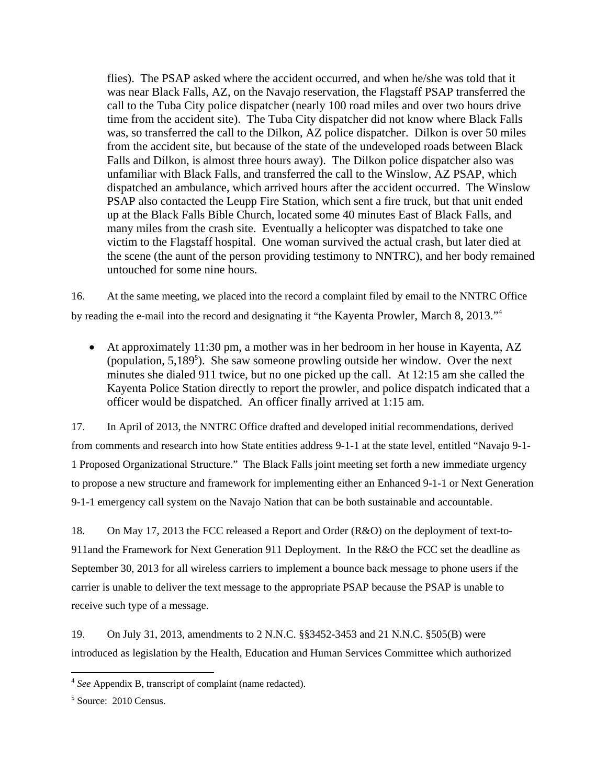flies). The PSAP asked where the accident occurred, and when he/she was told that it was near Black Falls, AZ, on the Navajo reservation, the Flagstaff PSAP transferred the call to the Tuba City police dispatcher (nearly 100 road miles and over two hours drive time from the accident site). The Tuba City dispatcher did not know where Black Falls was, so transferred the call to the Dilkon, AZ police dispatcher. Dilkon is over 50 miles from the accident site, but because of the state of the undeveloped roads between Black Falls and Dilkon, is almost three hours away). The Dilkon police dispatcher also was unfamiliar with Black Falls, and transferred the call to the Winslow, AZ PSAP, which dispatched an ambulance, which arrived hours after the accident occurred. The Winslow PSAP also contacted the Leupp Fire Station, which sent a fire truck, but that unit ended up at the Black Falls Bible Church, located some 40 minutes East of Black Falls, and many miles from the crash site. Eventually a helicopter was dispatched to take one victim to the Flagstaff hospital. One woman survived the actual crash, but later died at the scene (the aunt of the person providing testimony to NNTRC), and her body remained untouched for some nine hours.

16. At the same meeting, we placed into the record a complaint filed by email to the NNTRC Office by reading the e-mail into the record and designating it "the Kayenta Prowler, March 8, 2013."4

 At approximately 11:30 pm, a mother was in her bedroom in her house in Kayenta, AZ (population, 5,189<sup>5</sup>). She saw someone prowling outside her window. Over the next minutes she dialed 911 twice, but no one picked up the call. At 12:15 am she called the Kayenta Police Station directly to report the prowler, and police dispatch indicated that a officer would be dispatched. An officer finally arrived at 1:15 am.

17. In April of 2013, the NNTRC Office drafted and developed initial recommendations, derived from comments and research into how State entities address 9-1-1 at the state level, entitled "Navajo 9-1- 1 Proposed Organizational Structure." The Black Falls joint meeting set forth a new immediate urgency to propose a new structure and framework for implementing either an Enhanced 9-1-1 or Next Generation 9-1-1 emergency call system on the Navajo Nation that can be both sustainable and accountable.

18. On May 17, 2013 the FCC released a Report and Order (R&O) on the deployment of text-to-911and the Framework for Next Generation 911 Deployment. In the R&O the FCC set the deadline as September 30, 2013 for all wireless carriers to implement a bounce back message to phone users if the carrier is unable to deliver the text message to the appropriate PSAP because the PSAP is unable to receive such type of a message.

19. On July 31, 2013, amendments to 2 N.N.C. §§3452-3453 and 21 N.N.C. §505(B) were introduced as legislation by the Health, Education and Human Services Committee which authorized

<sup>4</sup> *See* Appendix B, transcript of complaint (name redacted).

<sup>&</sup>lt;sup>5</sup> Source: 2010 Census.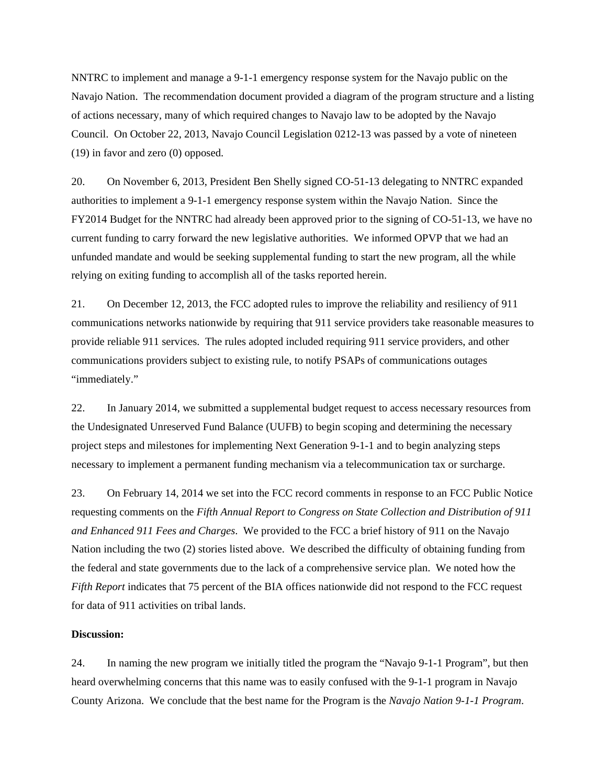NNTRC to implement and manage a 9-1-1 emergency response system for the Navajo public on the Navajo Nation. The recommendation document provided a diagram of the program structure and a listing of actions necessary, many of which required changes to Navajo law to be adopted by the Navajo Council. On October 22, 2013, Navajo Council Legislation 0212-13 was passed by a vote of nineteen (19) in favor and zero (0) opposed.

20. On November 6, 2013, President Ben Shelly signed CO-51-13 delegating to NNTRC expanded authorities to implement a 9-1-1 emergency response system within the Navajo Nation. Since the FY2014 Budget for the NNTRC had already been approved prior to the signing of CO-51-13, we have no current funding to carry forward the new legislative authorities. We informed OPVP that we had an unfunded mandate and would be seeking supplemental funding to start the new program, all the while relying on exiting funding to accomplish all of the tasks reported herein.

21. On December 12, 2013, the FCC adopted rules to improve the reliability and resiliency of 911 communications networks nationwide by requiring that 911 service providers take reasonable measures to provide reliable 911 services. The rules adopted included requiring 911 service providers, and other communications providers subject to existing rule, to notify PSAPs of communications outages "immediately."

22. In January 2014, we submitted a supplemental budget request to access necessary resources from the Undesignated Unreserved Fund Balance (UUFB) to begin scoping and determining the necessary project steps and milestones for implementing Next Generation 9-1-1 and to begin analyzing steps necessary to implement a permanent funding mechanism via a telecommunication tax or surcharge.

23. On February 14, 2014 we set into the FCC record comments in response to an FCC Public Notice requesting comments on the *Fifth Annual Report to Congress on State Collection and Distribution of 911 and Enhanced 911 Fees and Charges*. We provided to the FCC a brief history of 911 on the Navajo Nation including the two (2) stories listed above. We described the difficulty of obtaining funding from the federal and state governments due to the lack of a comprehensive service plan. We noted how the *Fifth Report* indicates that 75 percent of the BIA offices nationwide did not respond to the FCC request for data of 911 activities on tribal lands.

### **Discussion:**

24. In naming the new program we initially titled the program the "Navajo 9-1-1 Program", but then heard overwhelming concerns that this name was to easily confused with the 9-1-1 program in Navajo County Arizona. We conclude that the best name for the Program is the *Navajo Nation 9-1-1 Program*.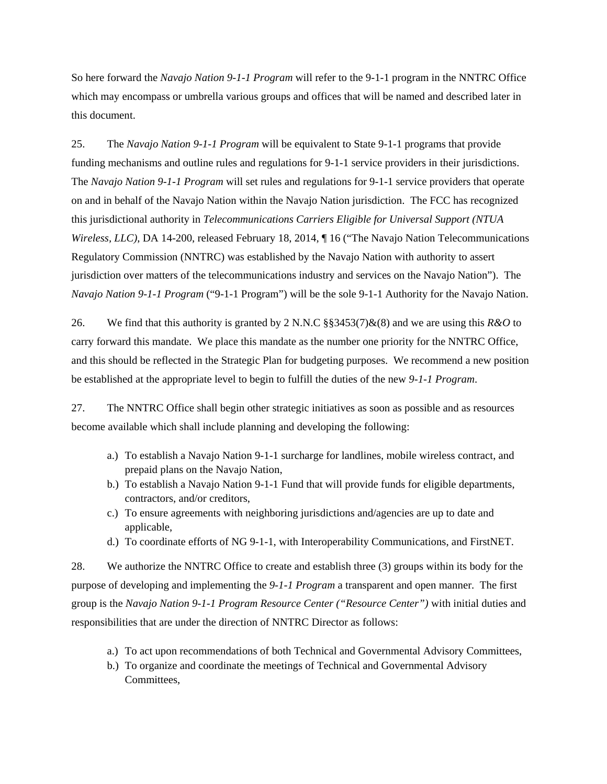So here forward the *Navajo Nation 9-1-1 Program* will refer to the 9-1-1 program in the NNTRC Office which may encompass or umbrella various groups and offices that will be named and described later in this document.

25. The *Navajo Nation 9-1-1 Program* will be equivalent to State 9-1-1 programs that provide funding mechanisms and outline rules and regulations for 9-1-1 service providers in their jurisdictions. The *Navajo Nation 9-1-1 Program* will set rules and regulations for 9-1-1 service providers that operate on and in behalf of the Navajo Nation within the Navajo Nation jurisdiction. The FCC has recognized this jurisdictional authority in *Telecommunications Carriers Eligible for Universal Support (NTUA Wireless, LLC)*, DA 14-200, released February 18, 2014,  $\P$  16 ("The Navajo Nation Telecommunications") Regulatory Commission (NNTRC) was established by the Navajo Nation with authority to assert jurisdiction over matters of the telecommunications industry and services on the Navajo Nation"). The *Navajo Nation 9-1-1 Program* ("9-1-1 Program") will be the sole 9-1-1 Authority for the Navajo Nation.

26. We find that this authority is granted by 2 N.N.C §§3453(7)&(8) and we are using this *R&O* to carry forward this mandate. We place this mandate as the number one priority for the NNTRC Office, and this should be reflected in the Strategic Plan for budgeting purposes. We recommend a new position be established at the appropriate level to begin to fulfill the duties of the new *9-1-1 Program*.

27. The NNTRC Office shall begin other strategic initiatives as soon as possible and as resources become available which shall include planning and developing the following:

- a.) To establish a Navajo Nation 9-1-1 surcharge for landlines, mobile wireless contract, and prepaid plans on the Navajo Nation,
- b.) To establish a Navajo Nation 9-1-1 Fund that will provide funds for eligible departments, contractors, and/or creditors,
- c.) To ensure agreements with neighboring jurisdictions and/agencies are up to date and applicable,
- d.) To coordinate efforts of NG 9-1-1, with Interoperability Communications, and FirstNET.

28. We authorize the NNTRC Office to create and establish three (3) groups within its body for the purpose of developing and implementing the *9-1-1 Program* a transparent and open manner. The first group is the *Navajo Nation 9-1-1 Program Resource Center ("Resource Center")* with initial duties and responsibilities that are under the direction of NNTRC Director as follows:

- a.) To act upon recommendations of both Technical and Governmental Advisory Committees,
- b.) To organize and coordinate the meetings of Technical and Governmental Advisory Committees,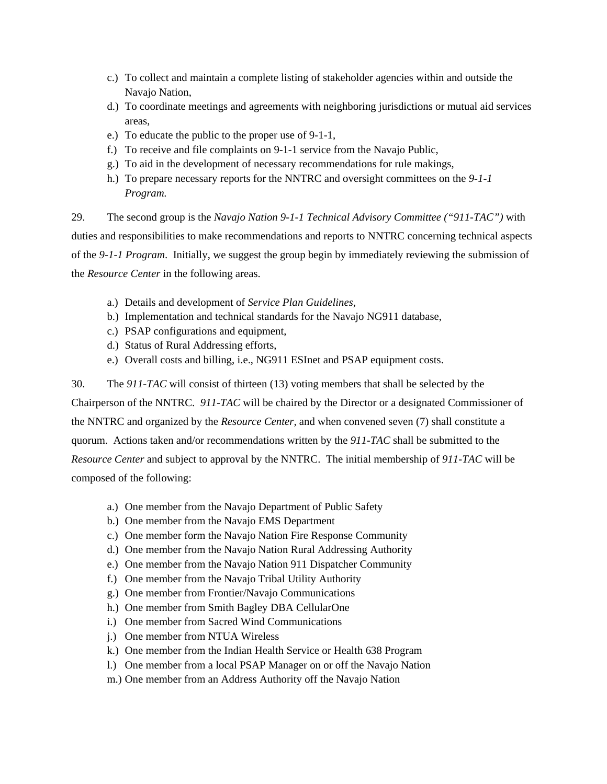- c.) To collect and maintain a complete listing of stakeholder agencies within and outside the Navajo Nation,
- d.) To coordinate meetings and agreements with neighboring jurisdictions or mutual aid services areas,
- e.) To educate the public to the proper use of 9-1-1,
- f.) To receive and file complaints on 9-1-1 service from the Navajo Public,
- g.) To aid in the development of necessary recommendations for rule makings,
- h.) To prepare necessary reports for the NNTRC and oversight committees on the *9-1-1 Program.*

29. The second group is the *Navajo Nation 9-1-1 Technical Advisory Committee ("911-TAC")* with duties and responsibilities to make recommendations and reports to NNTRC concerning technical aspects of the *9-1-1 Program*. Initially, we suggest the group begin by immediately reviewing the submission of the *Resource Center* in the following areas.

- a.) Details and development of *Service Plan Guidelines,*
- b.) Implementation and technical standards for the Navajo NG911 database,
- c.) PSAP configurations and equipment,
- d.) Status of Rural Addressing efforts,
- e.) Overall costs and billing, i.e., NG911 ESInet and PSAP equipment costs.

30. The *911-TAC* will consist of thirteen (13) voting members that shall be selected by the Chairperson of the NNTRC. *911-TAC* will be chaired by the Director or a designated Commissioner of the NNTRC and organized by the *Resource Center,* and when convened seven (7) shall constitute a quorum. Actions taken and/or recommendations written by the *911-TAC* shall be submitted to the *Resource Center* and subject to approval by the NNTRC. The initial membership of *911-TAC* will be composed of the following:

- a.) One member from the Navajo Department of Public Safety
- b.) One member from the Navajo EMS Department
- c.) One member form the Navajo Nation Fire Response Community
- d.) One member from the Navajo Nation Rural Addressing Authority
- e.) One member from the Navajo Nation 911 Dispatcher Community
- f.) One member from the Navajo Tribal Utility Authority
- g.) One member from Frontier/Navajo Communications
- h.) One member from Smith Bagley DBA CellularOne
- i.) One member from Sacred Wind Communications
- j.) One member from NTUA Wireless
- k.) One member from the Indian Health Service or Health 638 Program
- l.) One member from a local PSAP Manager on or off the Navajo Nation
- m.) One member from an Address Authority off the Navajo Nation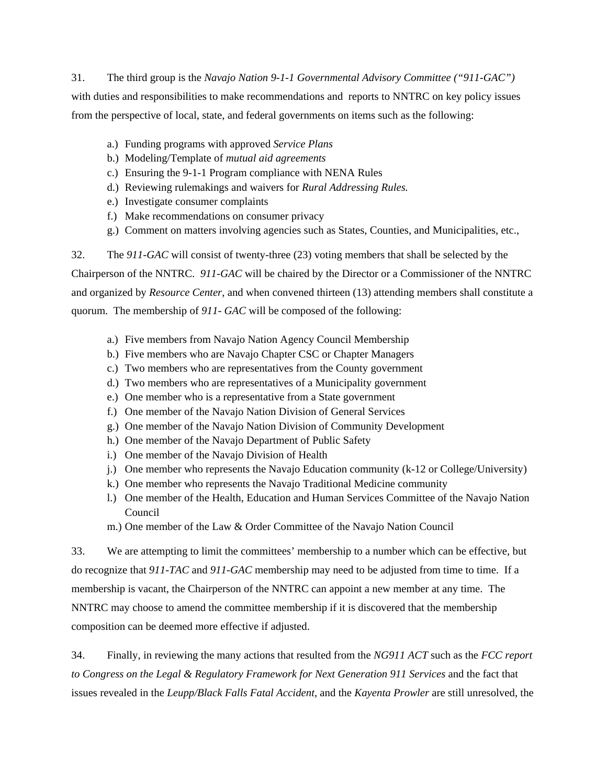31. The third group is the *Navajo Nation 9-1-1 Governmental Advisory Committee ("911-GAC")* with duties and responsibilities to make recommendations and reports to NNTRC on key policy issues from the perspective of local, state, and federal governments on items such as the following:

- a.) Funding programs with approved *Service Plans*
- b.) Modeling/Template of *mutual aid agreements*
- c.) Ensuring the 9-1-1 Program compliance with NENA Rules
- d.) Reviewing rulemakings and waivers for *Rural Addressing Rules.*
- e.) Investigate consumer complaints
- f.) Make recommendations on consumer privacy
- g.) Comment on matters involving agencies such as States, Counties, and Municipalities, etc.,

32. The *911-GAC* will consist of twenty-three (23) voting members that shall be selected by the Chairperson of the NNTRC. *911-GAC* will be chaired by the Director or a Commissioner of the NNTRC and organized by *Resource Center*, and when convened thirteen (13) attending members shall constitute a quorum. The membership of *911- GAC* will be composed of the following:

- a.) Five members from Navajo Nation Agency Council Membership
- b.) Five members who are Navajo Chapter CSC or Chapter Managers
- c.) Two members who are representatives from the County government
- d.) Two members who are representatives of a Municipality government
- e.) One member who is a representative from a State government
- f.) One member of the Navajo Nation Division of General Services
- g.) One member of the Navajo Nation Division of Community Development
- h.) One member of the Navajo Department of Public Safety
- i.) One member of the Navajo Division of Health
- j.) One member who represents the Navajo Education community (k-12 or College/University)
- k.) One member who represents the Navajo Traditional Medicine community
- l.) One member of the Health, Education and Human Services Committee of the Navajo Nation Council
- m.) One member of the Law & Order Committee of the Navajo Nation Council

33. We are attempting to limit the committees' membership to a number which can be effective, but do recognize that *911-TAC* and *911-GAC* membership may need to be adjusted from time to time. If a membership is vacant, the Chairperson of the NNTRC can appoint a new member at any time. The NNTRC may choose to amend the committee membership if it is discovered that the membership composition can be deemed more effective if adjusted.

34. Finally, in reviewing the many actions that resulted from the *NG911 ACT* such as the *FCC report to Congress on the Legal & Regulatory Framework for Next Generation 911 Services* and the fact that issues revealed in the *Leupp/Black Falls Fatal Accident*, and the *Kayenta Prowler* are still unresolved, the